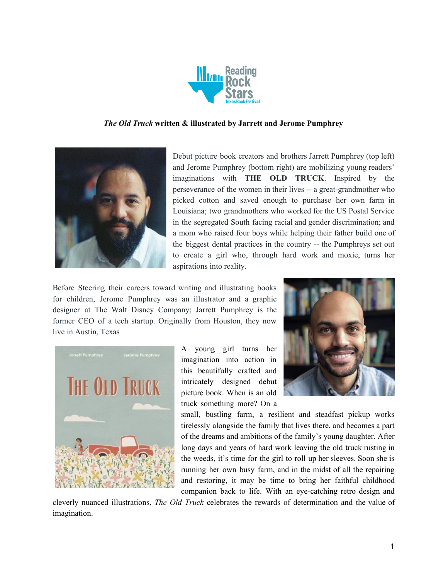

## *The Old Truck* **written & illustrated by Jarrett and Jerome Pumphrey**



Debut picture book creators and brothers Jarrett Pumphrey (top left) and Jerome Pumphrey (bottom right) are mobilizing young readers' imaginations with **THE OLD TRUCK**. Inspired by the perseverance of the women in their lives -- a great-grandmother who picked cotton and saved enough to purchase her own farm in Louisiana; two grandmothers who worked for the US Postal Service in the segregated South facing racial and gender discrimination; and a mom who raised four boys while helping their father build one of the biggest dental practices in the country -- the Pumphreys set out to create a girl who, through hard work and moxie, turns her aspirations into reality.

Before Steering their careers toward writing and illustrating books for children, Jerome Pumphrey was an illustrator and a graphic designer at The Walt Disney Company; Jarrett Pumphrey is the former CEO of a tech startup. Originally from Houston, they now live in Austin, Texas



A young girl turns her imagination into action in this beautifully crafted and intricately designed debut picture book. When is an old truck something more? On a



small, bustling farm, a resilient and steadfast pickup works tirelessly alongside the family that lives there, and becomes a part of the dreams and ambitions of the family's young daughter. After long days and years of hard work leaving the old truck rusting in the weeds, it's time for the girl to roll up her sleeves. Soon she is running her own busy farm, and in the midst of all the repairing and restoring, it may be time to bring her faithful childhood companion back to life. With an eye-catching retro design and

cleverly nuanced illustrations, *The Old Truck* celebrates the rewards of determination and the value of imagination.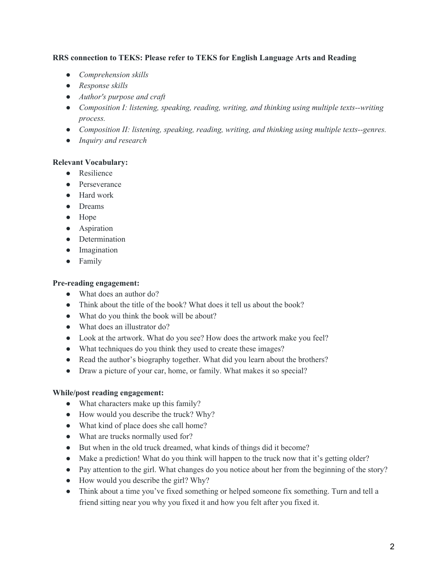# **RRS connection to TEKS: Please refer to TEKS for English Language Arts and Reading**

- *● Comprehension skills*
- *● Response skills*
- *● Author's purpose and craft*
- *● Composition I: listening, speaking, reading, writing, and thinking using multiple texts--writing process.*
- *● Composition II: listening, speaking, reading, writing, and thinking using multiple texts--genres.*
- *● Inquiry and research*

### **Relevant Vocabulary:**

- Resilience
- Perseverance
- Hard work
- Dreams
- Hope
- Aspiration
- Determination
- Imagination
- Family

## **Pre-reading engagement:**

- What does an author do?
- Think about the title of the book? What does it tell us about the book?
- What do you think the book will be about?
- What does an illustrator do?
- Look at the artwork. What do you see? How does the artwork make you feel?
- What techniques do you think they used to create these images?
- Read the author's biography together. What did you learn about the brothers?
- Draw a picture of your car, home, or family. What makes it so special?

### **While/post reading engagement:**

- What characters make up this family?
- How would you describe the truck? Why?
- What kind of place does she call home?
- What are trucks normally used for?
- But when in the old truck dreamed, what kinds of things did it become?
- Make a prediction! What do you think will happen to the truck now that it's getting older?
- Pay attention to the girl. What changes do you notice about her from the beginning of the story?
- How would you describe the girl? Why?
- Think about a time you've fixed something or helped someone fix something. Turn and tell a friend sitting near you why you fixed it and how you felt after you fixed it.